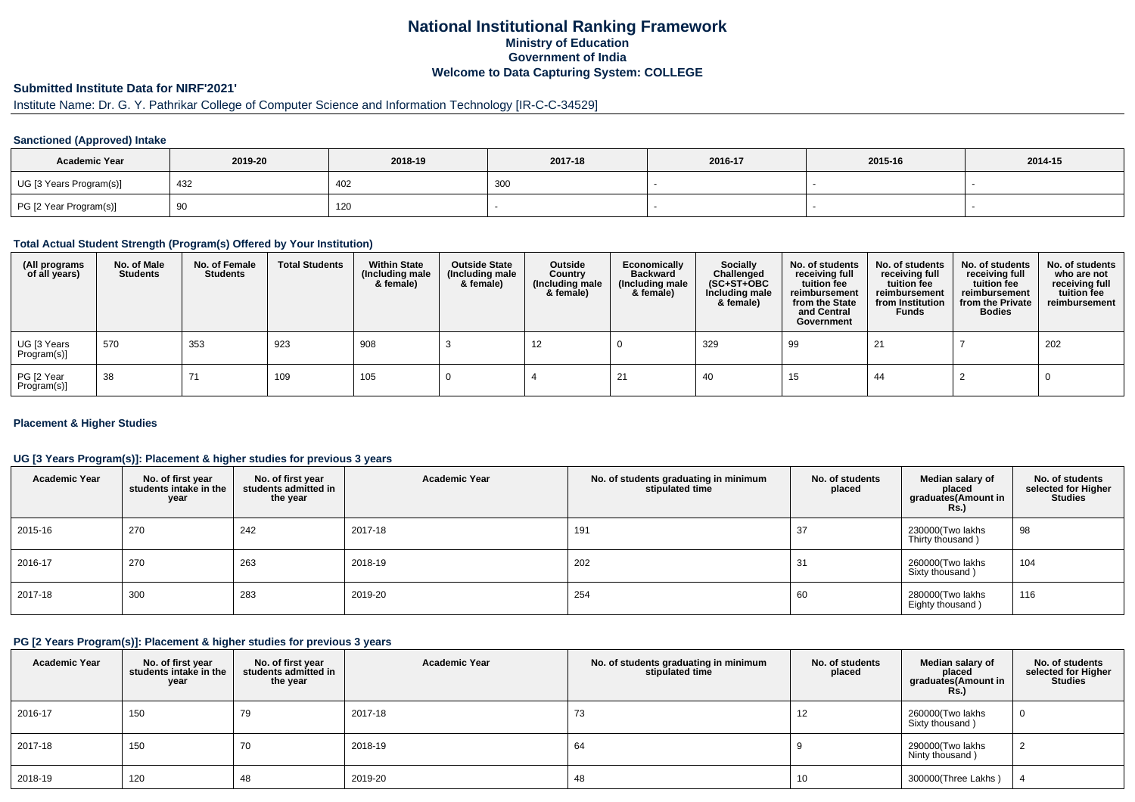## **National Institutional Ranking FrameworkMinistry of Education Government of IndiaWelcome to Data Capturing System: COLLEGE**

# **Submitted Institute Data for NIRF'2021'**

# Institute Name: Dr. G. Y. Pathrikar College of Computer Science and Information Technology [IR-C-C-34529]

### **Sanctioned (Approved) Intake**

| <b>Academic Year</b>    | 2019-20 | 2018-19 | 2017-18 | 2016-17 | 2015-16 | 2014-15 |
|-------------------------|---------|---------|---------|---------|---------|---------|
| UG [3 Years Program(s)] | 432     | 402     | 300     |         |         |         |
| PG [2 Year Program(s)]  | ັບ      | 120     |         |         |         |         |

### **Total Actual Student Strength (Program(s) Offered by Your Institution)**

| (All programs<br>of all years) | No. of Male<br><b>Students</b> | No. of Female<br><b>Students</b> | <b>Total Students</b> | <b>Within State</b><br>(Including male<br>& female) | <b>Outside State</b><br>(Including male<br>& female) | Outside<br>Country<br>(Including male<br>& female) | Economically<br><b>Backward</b><br>(Including male<br>& female) | <b>Socially</b><br>Challenged<br>$(SC+ST+OBC)$<br>Including male<br>& female) | No. of students<br>receiving full<br>tuition fee<br>reimbursement<br>from the State<br>and Central<br>Government | No. of students<br>receiving full<br>tuition fee<br>reimbursement<br>from Institution<br><b>Funds</b> | No. of students<br>receiving full<br>tuition fee<br>reimbursement<br>from the Private<br><b>Bodies</b> | No. of students<br>who are not<br>receiving full<br>tuition fee<br>reimbursement |
|--------------------------------|--------------------------------|----------------------------------|-----------------------|-----------------------------------------------------|------------------------------------------------------|----------------------------------------------------|-----------------------------------------------------------------|-------------------------------------------------------------------------------|------------------------------------------------------------------------------------------------------------------|-------------------------------------------------------------------------------------------------------|--------------------------------------------------------------------------------------------------------|----------------------------------------------------------------------------------|
| UG [3 Years<br>Program(s)]     | 570                            | 353                              | 923                   | 908                                                 |                                                      | 12                                                 |                                                                 | 329                                                                           | 99                                                                                                               | 21                                                                                                    |                                                                                                        | 202                                                                              |
| PG [2 Year<br>Program(s)]      | 38                             | 71                               | 109                   | 105                                                 |                                                      |                                                    |                                                                 | -40                                                                           | 15                                                                                                               | 44                                                                                                    |                                                                                                        |                                                                                  |

### **Placement & Higher Studies**

### **UG [3 Years Program(s)]: Placement & higher studies for previous 3 years**

| <b>Academic Year</b> | No. of first year<br>students intake in the<br>year | No. of first year<br>students admitted in<br>the year | <b>Academic Year</b> | No. of students graduating in minimum<br>stipulated time | No. of students<br>placed | Median salary of<br>placed<br>graduates(Amount in<br><b>Rs.)</b> | No. of students<br>selected for Higher<br><b>Studies</b> |
|----------------------|-----------------------------------------------------|-------------------------------------------------------|----------------------|----------------------------------------------------------|---------------------------|------------------------------------------------------------------|----------------------------------------------------------|
| 2015-16              | 270                                                 | 242                                                   | 2017-18              | 191                                                      | 37                        | 230000(Two lakhs<br>Thirty thousand)                             | 98                                                       |
| 2016-17              | 270                                                 | 263                                                   | 2018-19              | 202                                                      | 31                        | 260000(Two lakhs<br>Sixty thousand)                              | 104                                                      |
| 2017-18              | 300                                                 | 283                                                   | 2019-20              | 254                                                      | 60                        | 280000(Two lakhs<br>Eighty thousand)                             | 116                                                      |

#### **PG [2 Years Program(s)]: Placement & higher studies for previous 3 years**

| <b>Academic Year</b> | No. of first year<br>students intake in the<br>year | No. of first year<br>students admitted in<br>the year | <b>Academic Year</b> | No. of students graduating in minimum<br>stipulated time | No. of students<br>placed | Median salary of<br>placed<br>graduates(Amount in<br>Rs. | No. of students<br>selected for Higher<br><b>Studies</b> |
|----------------------|-----------------------------------------------------|-------------------------------------------------------|----------------------|----------------------------------------------------------|---------------------------|----------------------------------------------------------|----------------------------------------------------------|
| 2016-17              | 150                                                 | 79                                                    | 2017-18              | 73                                                       | 12                        | 260000(Two lakhs<br>Sixty thousand)                      | 0                                                        |
| 2017-18              | 150                                                 | 70                                                    | 2018-19              | 64                                                       |                           | 290000(Two lakhs<br>Ninty thousand)                      |                                                          |
| 2018-19              | 120                                                 | 48                                                    | 2019-20              | 48                                                       | 10                        | 300000(Three Lakhs)                                      |                                                          |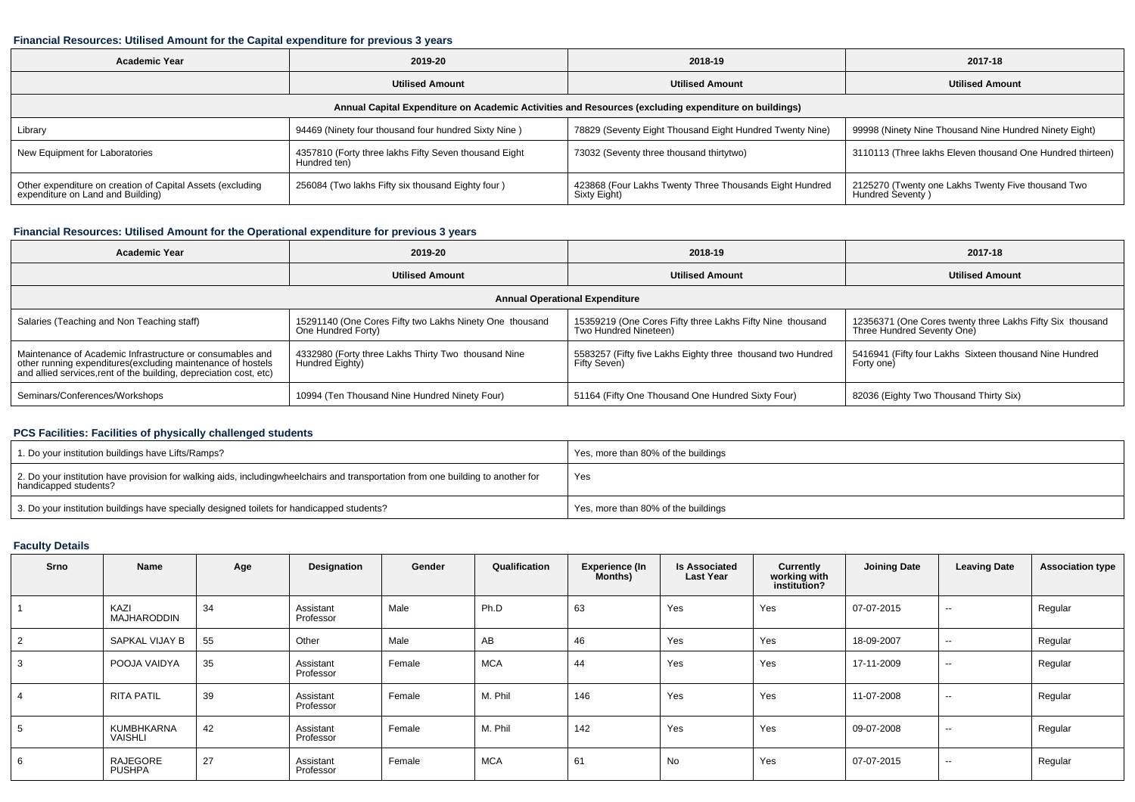#### **Financial Resources: Utilised Amount for the Capital expenditure for previous 3 years**

| Academic Year                                                                                        | 2019-20                                                               | 2018-19                                                                 | 2017-18                                                                |  |  |  |  |  |  |  |  |
|------------------------------------------------------------------------------------------------------|-----------------------------------------------------------------------|-------------------------------------------------------------------------|------------------------------------------------------------------------|--|--|--|--|--|--|--|--|
|                                                                                                      | <b>Utilised Amount</b>                                                | <b>Utilised Amount</b>                                                  | <b>Utilised Amount</b>                                                 |  |  |  |  |  |  |  |  |
| Annual Capital Expenditure on Academic Activities and Resources (excluding expenditure on buildings) |                                                                       |                                                                         |                                                                        |  |  |  |  |  |  |  |  |
| Library                                                                                              | 94469 (Ninety four thousand four hundred Sixty Nine)                  | 78829 (Seventy Eight Thousand Eight Hundred Twenty Nine)                | 99998 (Ninety Nine Thousand Nine Hundred Ninety Eight)                 |  |  |  |  |  |  |  |  |
| New Equipment for Laboratories                                                                       | 4357810 (Forty three lakhs Fifty Seven thousand Eight<br>Hundred ten) | 73032 (Seventy three thousand thirtytwo)                                | 3110113 (Three lakhs Eleven thousand One Hundred thirteen)             |  |  |  |  |  |  |  |  |
| Other expenditure on creation of Capital Assets (excluding<br>expenditure on Land and Building)      | 256084 (Two lakhs Fifty six thousand Eighty four)                     | 423868 (Four Lakhs Twenty Three Thousands Eight Hundred<br>Sixty Eight) | 2125270 (Twenty one Lakhs Twenty Five thousand Two<br>Hundred Seventy) |  |  |  |  |  |  |  |  |

### **Financial Resources: Utilised Amount for the Operational expenditure for previous 3 years**

| <b>Academic Year</b>                                                                                                                                                                            | 2019-20                                                                       | 2018-19                                                                            | 2017-18                                                                                 |  |  |  |  |  |  |  |
|-------------------------------------------------------------------------------------------------------------------------------------------------------------------------------------------------|-------------------------------------------------------------------------------|------------------------------------------------------------------------------------|-----------------------------------------------------------------------------------------|--|--|--|--|--|--|--|
|                                                                                                                                                                                                 | <b>Utilised Amount</b>                                                        | <b>Utilised Amount</b><br><b>Utilised Amount</b>                                   |                                                                                         |  |  |  |  |  |  |  |
| <b>Annual Operational Expenditure</b>                                                                                                                                                           |                                                                               |                                                                                    |                                                                                         |  |  |  |  |  |  |  |
| Salaries (Teaching and Non Teaching staff)                                                                                                                                                      | 15291140 (One Cores Fifty two Lakhs Ninety One thousand<br>One Hundred Forty) | 15359219 (One Cores Fifty three Lakhs Fifty Nine thousand<br>Two Hundred Nineteen) | 12356371 (One Cores twenty three Lakhs Fifty Six thousand<br>Three Hundred Seventy One) |  |  |  |  |  |  |  |
| Maintenance of Academic Infrastructure or consumables and<br>other running expenditures (excluding maintenance of hostels<br>and allied services, rent of the building, depreciation cost, etc) | 4332980 (Forty three Lakhs Thirty Two thousand Nine<br>Hundred Eighty)        | 5583257 (Fifty five Lakhs Eighty three thousand two Hundred<br>Fifty Seven)        | 5416941 (Fifty four Lakhs Sixteen thousand Nine Hundred<br>Forty one)                   |  |  |  |  |  |  |  |
| Seminars/Conferences/Workshops                                                                                                                                                                  | 10994 (Ten Thousand Nine Hundred Ninety Four)                                 | 51164 (Fifty One Thousand One Hundred Sixty Four)                                  | 82036 (Eighty Two Thousand Thirty Six)                                                  |  |  |  |  |  |  |  |

### **PCS Facilities: Facilities of physically challenged students**

| 1. Do your institution buildings have Lifts/Ramps?                                                                                                        | Yes, more than 80% of the buildings |
|-----------------------------------------------------------------------------------------------------------------------------------------------------------|-------------------------------------|
| 2. Do your institution have provision for walking aids, includingwheelchairs and transportation from one building to another for<br>handicapped students? | Yes                                 |
| 3. Do your institution buildings have specially designed toilets for handicapped students?                                                                | Yes, more than 80% of the buildings |

### **Faculty Details**

| <b>Srno</b> | Name                       | Age | Designation            | Gender | Qualification | <b>Experience (In</b><br><b>Months</b> ) | <b>Is Associated</b><br><b>Last Year</b> | Currently<br>working with<br>institution? | <b>Joining Date</b> | <b>Leaving Date</b>      | <b>Association type</b> |
|-------------|----------------------------|-----|------------------------|--------|---------------|------------------------------------------|------------------------------------------|-------------------------------------------|---------------------|--------------------------|-------------------------|
|             | KAZI<br><b>MAJHARODDIN</b> | 34  | Assistant<br>Professor | Male   | Ph.D          | 63                                       | Yes                                      | Yes                                       | 07-07-2015          | $\sim$                   | Regular                 |
|             | SAPKAL VIJAY B             | 55  | Other                  | Male   | AB            | 46                                       | Yes                                      | Yes                                       | 18-09-2007          | $\sim$                   | Regular                 |
|             | POOJA VAIDYA               | 35  | Assistant<br>Professor | Female | <b>MCA</b>    | 44                                       | Yes                                      | Yes                                       | 17-11-2009          | $\sim$                   | Regular                 |
|             | <b>RITA PATIL</b>          | 39  | Assistant<br>Professor | Female | M. Phil       | 146                                      | Yes                                      | Yes                                       | 11-07-2008          | $\sim$                   | Regular                 |
|             | KUMBHKARNA<br>VAISHLI      | 42  | Assistant<br>Professor | Female | M. Phil       | 142                                      | Yes                                      | Yes                                       | 09-07-2008          | $\sim$                   | Regular                 |
|             | RAJEGORE<br><b>PUSHPA</b>  | 27  | Assistant<br>Professor | Female | <b>MCA</b>    | 61                                       | No                                       | Yes                                       | 07-07-2015          | $\overline{\phantom{a}}$ | Regular                 |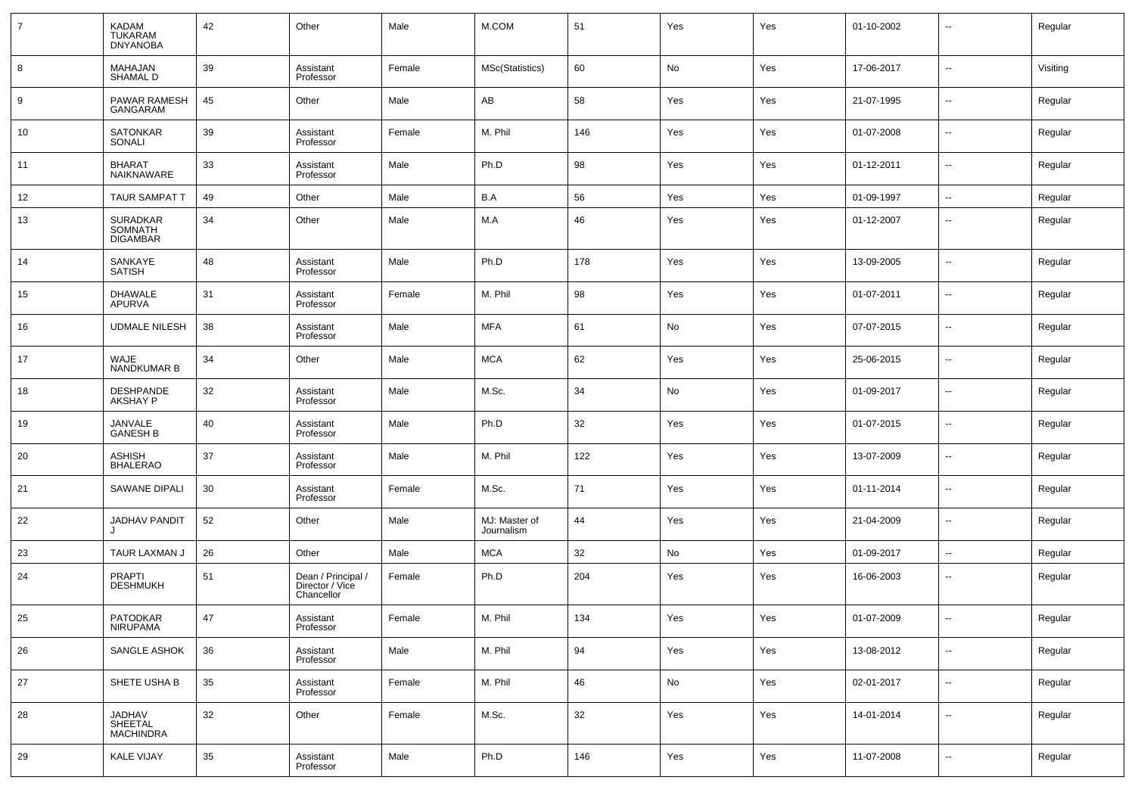| $\overline{7}$ | KADAM<br>TUKARAM<br><b>DNYANOBA</b>    | 42 | Other                                               | Male   | M.COM                       | 51  | Yes | Yes | 01-10-2002 | $\overline{\phantom{a}}$ | Regular  |
|----------------|----------------------------------------|----|-----------------------------------------------------|--------|-----------------------------|-----|-----|-----|------------|--------------------------|----------|
| 8              | MAHAJAN<br><b>SHAMAL D</b>             | 39 | Assistant<br>Professor                              | Female | MSc(Statistics)             | 60  | No  | Yes | 17-06-2017 | $\overline{\phantom{a}}$ | Visiting |
| 9              | PAWAR RAMESH<br>GANGARAM               | 45 | Other                                               | Male   | AB                          | 58  | Yes | Yes | 21-07-1995 | $\overline{\phantom{a}}$ | Regular  |
| 10             | <b>SATONKAR</b><br>SONALI              | 39 | Assistant<br>Professor                              | Female | M. Phil                     | 146 | Yes | Yes | 01-07-2008 | $\overline{\phantom{a}}$ | Regular  |
| 11             | <b>BHARAT</b><br>NAIKNAWARE            | 33 | Assistant<br>Professor                              | Male   | Ph.D                        | 98  | Yes | Yes | 01-12-2011 | $\sim$                   | Regular  |
| 12             | <b>TAUR SAMPAT T</b>                   | 49 | Other                                               | Male   | B.A                         | 56  | Yes | Yes | 01-09-1997 | $\overline{\phantom{a}}$ | Regular  |
| 13             | SURADKAR<br>SOMNATH<br><b>DIGAMBAR</b> | 34 | Other                                               | Male   | M.A                         | 46  | Yes | Yes | 01-12-2007 | $\overline{\phantom{a}}$ | Regular  |
| 14             | SANKAYE<br><b>SATISH</b>               | 48 | Assistant<br>Professor                              | Male   | Ph.D                        | 178 | Yes | Yes | 13-09-2005 | $\overline{\phantom{a}}$ | Regular  |
| 15             | <b>DHAWALE</b><br>APURVA               | 31 | Assistant<br>Professor                              | Female | M. Phil                     | 98  | Yes | Yes | 01-07-2011 | $\overline{\phantom{a}}$ | Regular  |
| 16             | <b>UDMALE NILESH</b>                   | 38 | Assistant<br>Professor                              | Male   | <b>MFA</b>                  | 61  | No  | Yes | 07-07-2015 | $\overline{\phantom{a}}$ | Regular  |
| 17             | WAJE<br>NANDKUMAR B                    | 34 | Other                                               | Male   | <b>MCA</b>                  | 62  | Yes | Yes | 25-06-2015 | $\overline{\phantom{a}}$ | Regular  |
| 18             | DESHPANDE<br><b>AKSHAY P</b>           | 32 | Assistant<br>Professor                              | Male   | M.Sc.                       | 34  | No  | Yes | 01-09-2017 | $\overline{\phantom{a}}$ | Regular  |
| 19             | JANVALE<br><b>GANESH B</b>             | 40 | Assistant<br>Professor                              | Male   | Ph.D                        | 32  | Yes | Yes | 01-07-2015 | $\sim$                   | Regular  |
| 20             | <b>ASHISH</b><br><b>BHALERAO</b>       | 37 | Assistant<br>Professor                              | Male   | M. Phil                     | 122 | Yes | Yes | 13-07-2009 | $\overline{\phantom{a}}$ | Regular  |
| 21             | SAWANE DIPALI                          | 30 | Assistant<br>Professor                              | Female | M.Sc.                       | 71  | Yes | Yes | 01-11-2014 | $\sim$                   | Regular  |
| 22             | JADHAV PANDIT                          | 52 | Other                                               | Male   | MJ: Master of<br>Journalism | 44  | Yes | Yes | 21-04-2009 | $\sim$                   | Regular  |
| 23             | TAUR LAXMAN J                          | 26 | Other                                               | Male   | <b>MCA</b>                  | 32  | No  | Yes | 01-09-2017 | $\sim$                   | Regular  |
| 24             | <b>PRAPTI</b><br><b>DESHMUKH</b>       | 51 | Dean / Principal /<br>Director / Vice<br>Chancellor | Female | Ph.D                        | 204 | Yes | Yes | 16-06-2003 | $\overline{\phantom{a}}$ | Regular  |
| 25             | PATODKAR<br><b>NIRUPAMA</b>            | 47 | Assistant<br>Professor                              | Female | M. Phil                     | 134 | Yes | Yes | 01-07-2009 |                          | Regular  |
| 26             | SANGLE ASHOK                           | 36 | Assistant<br>Professor                              | Male   | M. Phil                     | 94  | Yes | Yes | 13-08-2012 | $\overline{\phantom{a}}$ | Regular  |
| 27             | SHETE USHA B                           | 35 | Assistant<br>Professor                              | Female | M. Phil                     | 46  | No  | Yes | 02-01-2017 | $\overline{\phantom{a}}$ | Regular  |
| 28             | JADHAV<br>SHEETAL<br>MACHINDRA         | 32 | Other                                               | Female | M.Sc.                       | 32  | Yes | Yes | 14-01-2014 | $\sim$                   | Regular  |
| 29             | <b>KALE VIJAY</b>                      | 35 | Assistant<br>Professor                              | Male   | Ph.D                        | 146 | Yes | Yes | 11-07-2008 | $\overline{\phantom{a}}$ | Regular  |